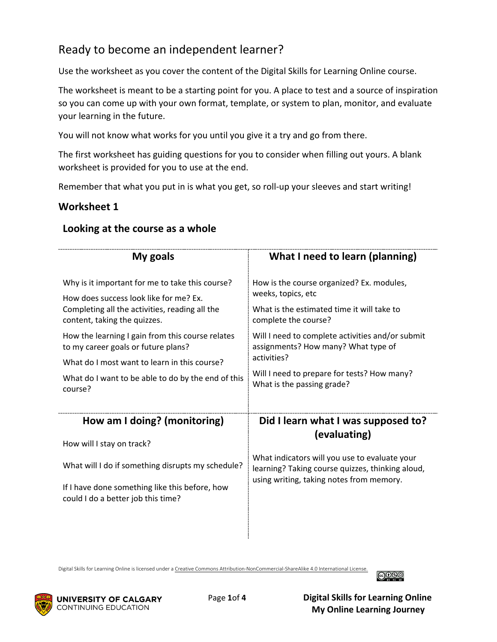# Ready to become an independent learner?

Use the worksheet as you cover the content of the Digital Skills for Learning Online course.

The worksheet is meant to be a starting point for you. A place to test and a source of inspiration so you can come up with your own format, template, or system to plan, monitor, and evaluate your learning in the future.

You will not know what works for you until you give it a try and go from there.

The first worksheet has guiding questions for you to consider when filling out yours. A blank worksheet is provided for you to use at the end.

Remember that what you put in is what you get, so roll-up your sleeves and start writing!

## **Worksheet 1**

| My goals                                           | What I need to learn (planning)                  |
|----------------------------------------------------|--------------------------------------------------|
| Why is it important for me to take this course?    | How is the course organized? Ex. modules,        |
| How does success look like for me? Ex.             | weeks, topics, etc                               |
| Completing all the activities, reading all the     | What is the estimated time it will take to       |
| content, taking the quizzes.                       | complete the course?                             |
| How the learning I gain from this course relates   | Will I need to complete activities and/or submit |
| to my career goals or future plans?                | assignments? How many? What type of              |
| What do I most want to learn in this course?       | activities?                                      |
| What do I want to be able to do by the end of this | Will I need to prepare for tests? How many?      |
| course?                                            | What is the passing grade?                       |
| How am I doing? (monitoring)                       | Did I learn what I was supposed to?              |
| How will I stay on track?                          | (evaluating)                                     |
| What will I do if something disrupts my schedule?  | What indicators will you use to evaluate your    |
| If I have done something like this before, how     | learning? Taking course quizzes, thinking aloud, |
| could I do a better job this time?                 | using writing, taking notes from memory.         |
|                                                    |                                                  |

#### **Looking at the course as a whole**

Digital Skills for Learning Online is licensed under [a Creative Commons Attribution-NonCommercial-ShareAlike 4.0 International License.](https://creativecommons.org/licenses/by-nc/4.0/)



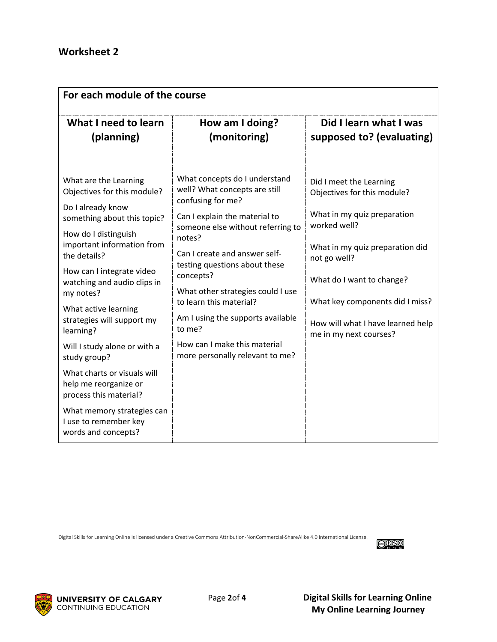| For each module of the course                                                                                                                                                                                                                                                                                              |                                                                                                                                                                                                                                                                                                                                                                   |                                                                                                                                                                                                                                                                                         |  |  |
|----------------------------------------------------------------------------------------------------------------------------------------------------------------------------------------------------------------------------------------------------------------------------------------------------------------------------|-------------------------------------------------------------------------------------------------------------------------------------------------------------------------------------------------------------------------------------------------------------------------------------------------------------------------------------------------------------------|-----------------------------------------------------------------------------------------------------------------------------------------------------------------------------------------------------------------------------------------------------------------------------------------|--|--|
| What I need to learn<br>(planning)                                                                                                                                                                                                                                                                                         | How am I doing?<br>(monitoring)                                                                                                                                                                                                                                                                                                                                   | Did I learn what I was<br>supposed to? (evaluating)                                                                                                                                                                                                                                     |  |  |
| What are the Learning<br>Objectives for this module?<br>Do I already know<br>something about this topic?<br>How do I distinguish<br>important information from<br>the details?<br>How can I integrate video<br>watching and audio clips in<br>my notes?<br>What active learning<br>strategies will support my<br>learning? | What concepts do I understand<br>well? What concepts are still<br>confusing for me?<br>Can I explain the material to<br>someone else without referring to<br>notes?<br>Can I create and answer self-<br>testing questions about these<br>concepts?<br>What other strategies could I use<br>to learn this material?<br>Am I using the supports available<br>to me? | Did I meet the Learning<br>Objectives for this module?<br>What in my quiz preparation<br>worked well?<br>What in my quiz preparation did<br>not go well?<br>What do I want to change?<br>What key components did I miss?<br>How will what I have learned help<br>me in my next courses? |  |  |
| Will I study alone or with a<br>study group?<br>What charts or visuals will<br>help me reorganize or<br>process this material?                                                                                                                                                                                             | How can I make this material<br>more personally relevant to me?                                                                                                                                                                                                                                                                                                   |                                                                                                                                                                                                                                                                                         |  |  |
| What memory strategies can<br>I use to remember key<br>words and concepts?                                                                                                                                                                                                                                                 |                                                                                                                                                                                                                                                                                                                                                                   |                                                                                                                                                                                                                                                                                         |  |  |

Digital Skills for Learning Online is licensed under [a Creative Commons Attribution-NonCommercial-ShareAlike 4.0 International License.](https://creativecommons.org/licenses/by-nc/4.0/)



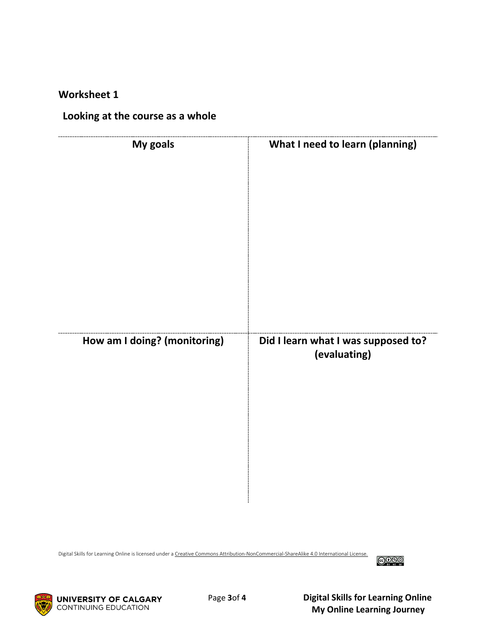#### **Worksheet 1**

#### **Looking at the course as a whole**

| My goals                     | What I need to learn (planning)     |
|------------------------------|-------------------------------------|
| How am I doing? (monitoring) | Did I learn what I was supposed to? |
|                              | (evaluating)                        |
|                              |                                     |

Digital Skills for Learning Online is licensed under [a Creative Commons Attribution-NonCommercial-ShareAlike 4.0 International License.](https://creativecommons.org/licenses/by-nc/4.0/)